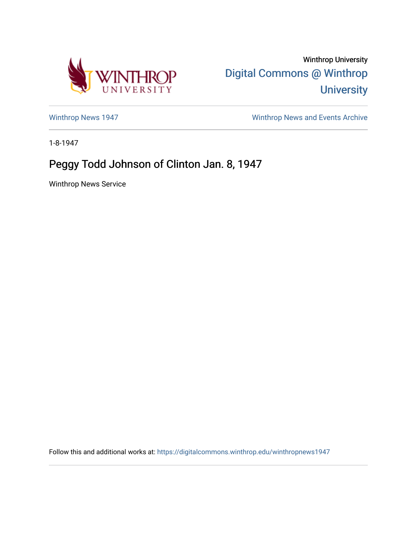

Winthrop University [Digital Commons @ Winthrop](https://digitalcommons.winthrop.edu/)  **University** 

[Winthrop News 1947](https://digitalcommons.winthrop.edu/winthropnews1947) [Winthrop News and Events Archive](https://digitalcommons.winthrop.edu/winthropnewsarchives) 

1-8-1947

## Peggy Todd Johnson of Clinton Jan. 8, 1947

Winthrop News Service

Follow this and additional works at: [https://digitalcommons.winthrop.edu/winthropnews1947](https://digitalcommons.winthrop.edu/winthropnews1947?utm_source=digitalcommons.winthrop.edu%2Fwinthropnews1947%2F32&utm_medium=PDF&utm_campaign=PDFCoverPages)